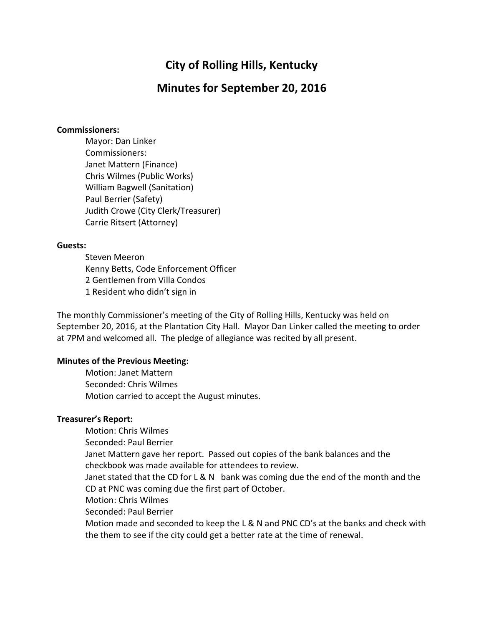# City of Rolling Hills, Kentucky

# Minutes for September 20, 2016

#### Commissioners:

Mayor: Dan Linker Commissioners: Janet Mattern (Finance) Chris Wilmes (Public Works) William Bagwell (Sanitation) Paul Berrier (Safety) Judith Crowe (City Clerk/Treasurer) Carrie Ritsert (Attorney)

#### Guests:

 Steven Meeron Kenny Betts, Code Enforcement Officer 2 Gentlemen from Villa Condos 1 Resident who didn't sign in

The monthly Commissioner's meeting of the City of Rolling Hills, Kentucky was held on September 20, 2016, at the Plantation City Hall. Mayor Dan Linker called the meeting to order at 7PM and welcomed all. The pledge of allegiance was recited by all present.

# Minutes of the Previous Meeting:

 Motion: Janet Mattern Seconded: Chris Wilmes Motion carried to accept the August minutes.

# Treasurer's Report:

 Motion: Chris Wilmes Seconded: Paul Berrier Janet Mattern gave her report. Passed out copies of the bank balances and the checkbook was made available for attendees to review. Janet stated that the CD for L & N bank was coming due the end of the month and the CD at PNC was coming due the first part of October. Motion: Chris Wilmes Seconded: Paul Berrier Motion made and seconded to keep the L & N and PNC CD's at the banks and check with the them to see if the city could get a better rate at the time of renewal.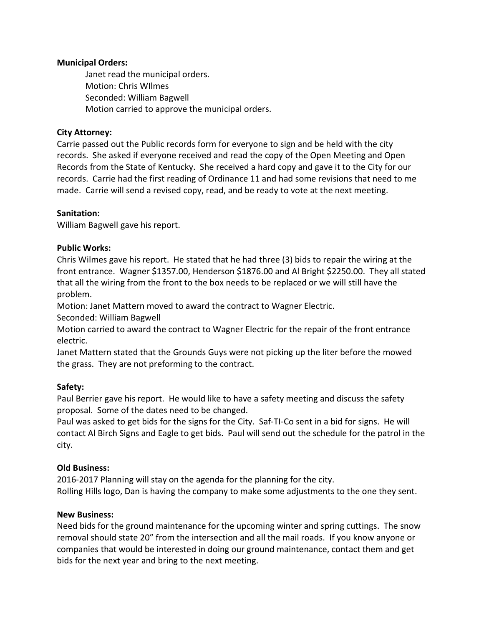# Municipal Orders:

Janet read the municipal orders. Motion: Chris WIlmes Seconded: William Bagwell Motion carried to approve the municipal orders.

#### City Attorney:

Carrie passed out the Public records form for everyone to sign and be held with the city records. She asked if everyone received and read the copy of the Open Meeting and Open Records from the State of Kentucky. She received a hard copy and gave it to the City for our records. Carrie had the first reading of Ordinance 11 and had some revisions that need to me made. Carrie will send a revised copy, read, and be ready to vote at the next meeting.

#### Sanitation:

William Bagwell gave his report.

#### Public Works:

Chris Wilmes gave his report. He stated that he had three (3) bids to repair the wiring at the front entrance. Wagner \$1357.00, Henderson \$1876.00 and Al Bright \$2250.00. They all stated that all the wiring from the front to the box needs to be replaced or we will still have the problem.

Motion: Janet Mattern moved to award the contract to Wagner Electric.

Seconded: William Bagwell

Motion carried to award the contract to Wagner Electric for the repair of the front entrance electric.

Janet Mattern stated that the Grounds Guys were not picking up the liter before the mowed the grass. They are not preforming to the contract.

# Safety:

Paul Berrier gave his report. He would like to have a safety meeting and discuss the safety proposal. Some of the dates need to be changed.

Paul was asked to get bids for the signs for the City. Saf-TI-Co sent in a bid for signs. He will contact Al Birch Signs and Eagle to get bids. Paul will send out the schedule for the patrol in the city.

#### Old Business:

2016-2017 Planning will stay on the agenda for the planning for the city. Rolling Hills logo, Dan is having the company to make some adjustments to the one they sent.

#### New Business:

Need bids for the ground maintenance for the upcoming winter and spring cuttings. The snow removal should state 20" from the intersection and all the mail roads. If you know anyone or companies that would be interested in doing our ground maintenance, contact them and get bids for the next year and bring to the next meeting.